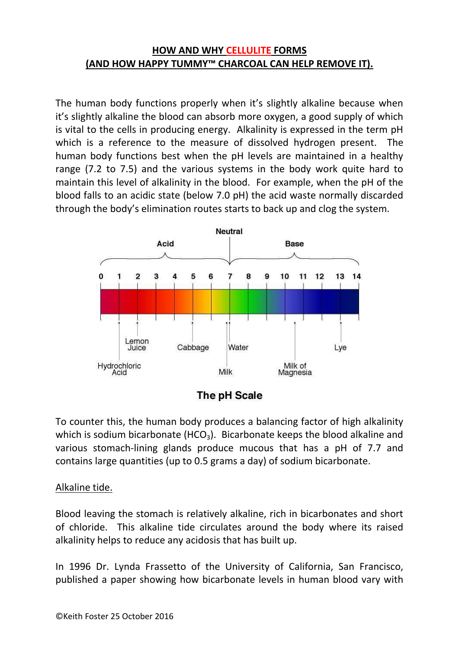## **HOW AND WHY CELLULITE FORMS (AND HOW HAPPY TUMMY™ CHARCOAL CAN HELP REMOVE IT).**

The human body functions properly when it's slightly alkaline because when it's slightly alkaline the blood can absorb more oxygen, a good supply of which is vital to the cells in producing energy. Alkalinity is expressed in the term pH which is a reference to the measure of dissolved hydrogen present. The human body functions best when the pH levels are maintained in a healthy range (7.2 to 7.5) and the various systems in the body work quite hard to maintain this level of alkalinity in the blood. For example, when the pH of the blood falls to an acidic state (below 7.0 pH) the acid waste normally discarded through the body's elimination routes starts to back up and clog the system.





To counter this, the human body produces a balancing factor of high alkalinity which is sodium bicarbonate (HCO<sub>3</sub>). Bicarbonate keeps the blood alkaline and various stomach-lining glands produce mucous that has a pH of 7.7 and contains large quantities (up to 0.5 grams a day) of sodium bicarbonate.

### Alkaline tide.

Blood leaving the stomach is relatively alkaline, rich in bicarbonates and short of chloride. This alkaline tide circulates around the body where its raised alkalinity helps to reduce any acidosis that has built up.

In 1996 Dr. Lynda Frassetto of the University of California, San Francisco, published a paper showing how bicarbonate levels in human blood vary with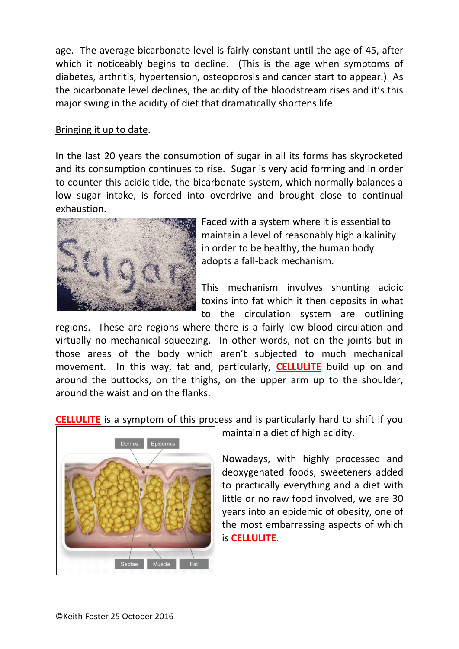age. The average bicarbonate level is fairly constant until the age of 45, after which it noticeably begins to decline. (This is the age when symptoms of diabetes, arthritis, hypertension, osteoporosis and cancer start to appear.) As the bicarbonate level declines, the acidity of the bloodstream rises and it's this major swing in the acidity of diet that dramatically shortens life.

#### Bringing it up to date.

In the last 20 years the consumption of sugar in all its forms has skyrocketed and its consumption continues to rise. Sugar is very acid forming and in order to counter this acidic tide, the bicarbonate system, which normally balances a low sugar intake, is forced into overdrive and brought close to continual exhaustion.



Faced with a system where it is essential to maintain a level of reasonably high alkalinity in order to be healthy, the human body adopts a fall-back mechanism.

This mechanism involves shunting acidic toxins into fat which it then deposits in what to the circulation system are outlining

regions. These are regions where there is a fairly low blood circulation and virtually no mechanical squeezing. In other words, not on the joints but in those areas of the body which aren't subjected to much mechanical movement. In this way, fat and, particularly, **CELLULITE** build up on and around the buttocks, on the thighs, on the upper arm up to the shoulder, around the waist and on the flanks.

**CELLULITE** is a symptom of this process and is particularly hard to shift if you



maintain a diet of high acidity.

Nowadays, with highly processed and deoxygenated foods, sweeteners added to practically everything and a diet with little or no raw food involved, we are 30 years into an epidemic of obesity, one of the most embarrassing aspects of which is **CELLULITE**.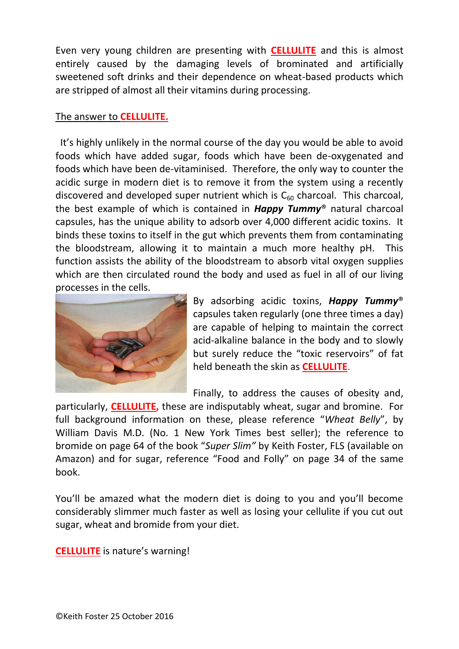Even very young children are presenting with **CELLULITE** and this is almost entirely caused by the damaging levels of brominated and artificially sweetened soft drinks and their dependence on wheat-based products which are stripped of almost all their vitamins during processing.

#### The answer to **CELLULITE.**

 It's highly unlikely in the normal course of the day you would be able to avoid foods which have added sugar, foods which have been de-oxygenated and foods which have been de-vitaminised. Therefore, the only way to counter the acidic surge in modern diet is to remove it from the system using a recently discovered and developed super nutrient which is  $C_{60}$  charcoal. This charcoal, the best example of which is contained in *Happy Tummy*® natural charcoal capsules, has the unique ability to adsorb over 4,000 different acidic toxins. It binds these toxins to itself in the gut which prevents them from contaminating the bloodstream, allowing it to maintain a much more healthy pH. This function assists the ability of the bloodstream to absorb vital oxygen supplies which are then circulated round the body and used as fuel in all of our living processes in the cells.



By adsorbing acidic toxins, *Happy Tummy*® capsules taken regularly (one three times a day) are capable of helping to maintain the correct acid-alkaline balance in the body and to slowly but surely reduce the "toxic reservoirs" of fat held beneath the skin as **CELLULITE**.

Finally, to address the causes of obesity and,

particularly, **CELLULITE,** these are indisputably wheat, sugar and bromine. For full background information on these, please reference "*Wheat Belly*", by William Davis M.D. (No. 1 New York Times best seller); the reference to bromide on page 64 of the book "*Super Slim"* by Keith Foster, FLS (available on Amazon) and for sugar, reference "Food and Folly" on page 34 of the same book.

You'll be amazed what the modern diet is doing to you and you'll become considerably slimmer much faster as well as losing your cellulite if you cut out sugar, wheat and bromide from your diet.

**CELLULITE** is nature's warning!